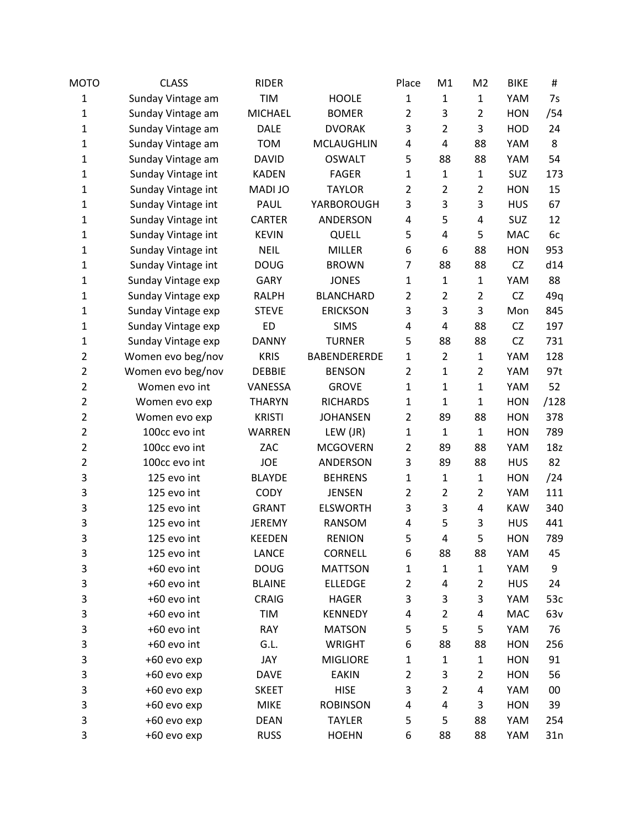| MOTO           | <b>CLASS</b>       | <b>RIDER</b>   |                     | Place          | M1             | M <sub>2</sub> | <b>BIKE</b> | #    |
|----------------|--------------------|----------------|---------------------|----------------|----------------|----------------|-------------|------|
| 1              | Sunday Vintage am  | <b>TIM</b>     | <b>HOOLE</b>        | $\mathbf{1}$   | $\mathbf{1}$   | $\mathbf{1}$   | YAM         | 7s   |
| $\mathbf{1}$   | Sunday Vintage am  | <b>MICHAEL</b> | <b>BOMER</b>        | $\overline{2}$ | 3              | $\overline{2}$ | <b>HON</b>  | /54  |
| 1              | Sunday Vintage am  | <b>DALE</b>    | <b>DVORAK</b>       | 3              | $\overline{2}$ | 3              | HOD         | 24   |
| 1              | Sunday Vintage am  | <b>TOM</b>     | <b>MCLAUGHLIN</b>   | 4              | 4              | 88             | YAM         | 8    |
| 1              | Sunday Vintage am  | <b>DAVID</b>   | <b>OSWALT</b>       | 5              | 88             | 88             | YAM         | 54   |
| 1              | Sunday Vintage int | <b>KADEN</b>   | <b>FAGER</b>        | 1              | $\mathbf{1}$   | $\mathbf{1}$   | SUZ         | 173  |
| 1              | Sunday Vintage int | MADI JO        | <b>TAYLOR</b>       | $\overline{2}$ | $\overline{2}$ | $\overline{2}$ | <b>HON</b>  | 15   |
| 1              | Sunday Vintage int | PAUL           | YARBOROUGH          | 3              | 3              | 3              | <b>HUS</b>  | 67   |
| 1              | Sunday Vintage int | <b>CARTER</b>  | ANDERSON            | 4              | 5              | 4              | <b>SUZ</b>  | 12   |
| 1              | Sunday Vintage int | <b>KEVIN</b>   | QUELL               | 5              | 4              | 5              | <b>MAC</b>  | 6c   |
| 1              | Sunday Vintage int | <b>NEIL</b>    | <b>MILLER</b>       | 6              | 6              | 88             | <b>HON</b>  | 953  |
| 1              | Sunday Vintage int | <b>DOUG</b>    | <b>BROWN</b>        | 7              | 88             | 88             | <b>CZ</b>   | d14  |
| 1              | Sunday Vintage exp | <b>GARY</b>    | <b>JONES</b>        | $\mathbf{1}$   | $\mathbf{1}$   | $\mathbf{1}$   | YAM         | 88   |
| 1              | Sunday Vintage exp | <b>RALPH</b>   | <b>BLANCHARD</b>    | $\overline{2}$ | $\overline{2}$ | $\overline{2}$ | <b>CZ</b>   | 49q  |
| 1              | Sunday Vintage exp | <b>STEVE</b>   | <b>ERICKSON</b>     | 3              | 3              | 3              | Mon         | 845  |
| 1              | Sunday Vintage exp | <b>ED</b>      | <b>SIMS</b>         | 4              | 4              | 88             | CZ          | 197  |
| 1              | Sunday Vintage exp | <b>DANNY</b>   | <b>TURNER</b>       | 5              | 88             | 88             | CZ          | 731  |
| $\overline{2}$ | Women evo beg/nov  | <b>KRIS</b>    | <b>BABENDERERDE</b> | 1              | $\overline{2}$ | $\mathbf 1$    | YAM         | 128  |
| $\overline{2}$ | Women evo beg/nov  | <b>DEBBIE</b>  | <b>BENSON</b>       | $\overline{2}$ | $\mathbf{1}$   | $\overline{2}$ | YAM         | 97t  |
| $\overline{2}$ | Women evo int      | VANESSA        | <b>GROVE</b>        | 1              | $\mathbf{1}$   | $\mathbf{1}$   | YAM         | 52   |
| $\overline{2}$ | Women evo exp      | <b>THARYN</b>  | <b>RICHARDS</b>     | $\mathbf{1}$   | $\mathbf{1}$   | $\mathbf{1}$   | <b>HON</b>  | /128 |
| $\overline{2}$ | Women evo exp      | <b>KRISTI</b>  | <b>JOHANSEN</b>     | $\overline{2}$ | 89             | 88             | <b>HON</b>  | 378  |
| $\overline{2}$ | 100cc evo int      | <b>WARREN</b>  | LEW (JR)            | $\mathbf{1}$   | $\mathbf{1}$   | $\mathbf{1}$   | <b>HON</b>  | 789  |
| $\overline{2}$ | 100cc evo int      | ZAC            | <b>MCGOVERN</b>     | $\overline{2}$ | 89             | 88             | YAM         | 18z  |
| $\overline{2}$ | 100cc evo int      | <b>JOE</b>     | ANDERSON            | 3              | 89             | 88             | <b>HUS</b>  | 82   |
| 3              | 125 evo int        | <b>BLAYDE</b>  | <b>BEHRENS</b>      | $\mathbf{1}$   | $\mathbf{1}$   | $\mathbf{1}$   | <b>HON</b>  | /24  |
| 3              | 125 evo int        | <b>CODY</b>    | <b>JENSEN</b>       | $\overline{2}$ | $\overline{2}$ | $\overline{2}$ | YAM         | 111  |
| 3              | 125 evo int        | <b>GRANT</b>   | <b>ELSWORTH</b>     | 3              | 3              | 4              | <b>KAW</b>  | 340  |
| 3              | 125 evo int        | <b>JEREMY</b>  | RANSOM              | 4              | 5              | 3              | <b>HUS</b>  | 441  |
| 3              | 125 evo int        | <b>KEEDEN</b>  | <b>RENION</b>       | 5              | 4              | 5              | <b>HON</b>  | 789  |
| 3              | 125 evo int        | LANCE          | <b>CORNELL</b>      | 6              | 88             | 88             | YAM         | 45   |
| 3              | +60 evo int        | <b>DOUG</b>    | <b>MATTSON</b>      | 1              | $\mathbf{1}$   | $\mathbf{1}$   | YAM         | 9    |
| 3              | +60 evo int        | <b>BLAINE</b>  | <b>ELLEDGE</b>      | $\overline{2}$ | 4              | $\overline{2}$ | <b>HUS</b>  | 24   |
| 3              | +60 evo int        | <b>CRAIG</b>   | <b>HAGER</b>        | 3              | 3              | 3              | YAM         | 53c  |
| 3              | +60 evo int        | TIM            | <b>KENNEDY</b>      | 4              | $\overline{2}$ | 4              | <b>MAC</b>  | 63v  |
| 3              | +60 evo int        | <b>RAY</b>     | <b>MATSON</b>       | 5              | 5              | 5              | YAM         | 76   |
| 3              | +60 evo int        | G.L.           | WRIGHT              | 6              | 88             | 88             | <b>HON</b>  | 256  |
| 3              | +60 evo exp        | JAY            | <b>MIGLIORE</b>     | 1              | $\mathbf{1}$   | $\mathbf{1}$   | <b>HON</b>  | 91   |
| 3              | +60 evo exp        | <b>DAVE</b>    | <b>EAKIN</b>        | 2              | 3              | 2              | <b>HON</b>  | 56   |
| 3              | +60 evo exp        | <b>SKEET</b>   | <b>HISE</b>         | 3              | $\overline{2}$ | 4              | YAM         | 00   |
| 3              | +60 evo exp        | <b>MIKE</b>    | <b>ROBINSON</b>     | 4              | 4              | 3              | <b>HON</b>  | 39   |
| 3              | +60 evo exp        | <b>DEAN</b>    | <b>TAYLER</b>       | 5              | 5              | 88             | YAM         | 254  |
| 3              | +60 evo exp        | <b>RUSS</b>    | <b>HOEHN</b>        | 6              | 88             | 88             | YAM         | 31n  |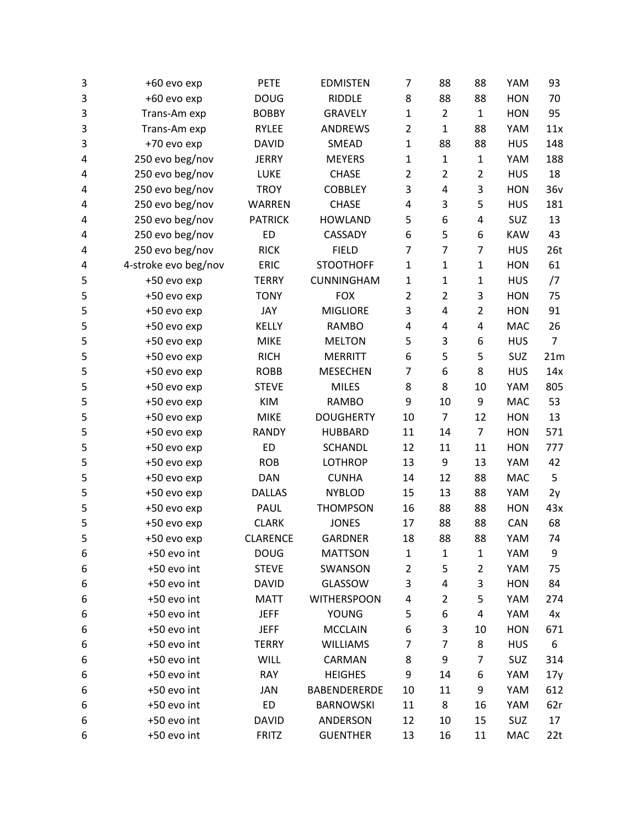| 3 | +60 evo exp          | <b>PETE</b>     | <b>EDMISTEN</b>     | $\overline{7}$ | 88             | 88             | YAM        | 93              |
|---|----------------------|-----------------|---------------------|----------------|----------------|----------------|------------|-----------------|
| 3 | +60 evo exp          | <b>DOUG</b>     | <b>RIDDLE</b>       | 8              | 88             | 88             | <b>HON</b> | 70              |
| 3 | Trans-Am exp         | <b>BOBBY</b>    | <b>GRAVELY</b>      | $\mathbf{1}$   | $\overline{2}$ | $\mathbf{1}$   | <b>HON</b> | 95              |
| 3 | Trans-Am exp         | RYLEE           | ANDREWS             | $\overline{2}$ | $\mathbf{1}$   | 88             | YAM        | 11x             |
| 3 | +70 evo exp          | <b>DAVID</b>    | SMEAD               | $\mathbf{1}$   | 88             | 88             | <b>HUS</b> | 148             |
| 4 | 250 evo beg/nov      | <b>JERRY</b>    | <b>MEYERS</b>       | $\mathbf{1}$   | $\mathbf{1}$   | $\mathbf{1}$   | YAM        | 188             |
| 4 | 250 evo beg/nov      | LUKE            | <b>CHASE</b>        | $\overline{2}$ | $\overline{2}$ | $\overline{2}$ | <b>HUS</b> | 18              |
| 4 | 250 evo beg/nov      | <b>TROY</b>     | <b>COBBLEY</b>      | 3              | 4              | 3              | <b>HON</b> | 36v             |
| 4 | 250 evo beg/nov      | WARREN          | <b>CHASE</b>        | 4              | 3              | 5              | <b>HUS</b> | 181             |
| 4 | 250 evo beg/nov      | <b>PATRICK</b>  | <b>HOWLAND</b>      | 5              | 6              | 4              | SUZ        | 13              |
| 4 | 250 evo beg/nov      | <b>ED</b>       | CASSADY             | 6              | 5              | 6              | <b>KAW</b> | 43              |
| 4 | 250 evo beg/nov      | <b>RICK</b>     | <b>FIELD</b>        | 7              | 7              | 7              | <b>HUS</b> | 26 <sub>t</sub> |
| 4 | 4-stroke evo beg/nov | ERIC            | <b>STOOTHOFF</b>    | $\mathbf{1}$   | $\mathbf{1}$   | 1              | <b>HON</b> | 61              |
| 5 | +50 evo exp          | <b>TERRY</b>    | CUNNINGHAM          | $\mathbf{1}$   | $\mathbf{1}$   | 1              | <b>HUS</b> | $\sqrt{7}$      |
| 5 | +50 evo exp          | <b>TONY</b>     | <b>FOX</b>          | $\overline{2}$ | $\overline{2}$ | 3              | <b>HON</b> | 75              |
| 5 | +50 evo exp          | JAY             | <b>MIGLIORE</b>     | 3              | 4              | $\overline{2}$ | <b>HON</b> | 91              |
| 5 | +50 evo exp          | KELLY           | <b>RAMBO</b>        | 4              | 4              | 4              | <b>MAC</b> | 26              |
| 5 | +50 evo exp          | <b>MIKE</b>     | <b>MELTON</b>       | 5              | 3              | 6              | <b>HUS</b> | $\overline{7}$  |
| 5 | +50 evo exp          | <b>RICH</b>     | <b>MERRITT</b>      | 6              | 5              | 5              | SUZ        | 21m             |
| 5 | +50 evo exp          | <b>ROBB</b>     | <b>MESECHEN</b>     | 7              | 6              | 8              | <b>HUS</b> | 14x             |
| 5 | +50 evo exp          | <b>STEVE</b>    | <b>MILES</b>        | 8              | 8              | 10             | YAM        | 805             |
| 5 | +50 evo exp          | KIM             | <b>RAMBO</b>        | 9              | 10             | 9              | MAC        | 53              |
| 5 | +50 evo exp          | <b>MIKE</b>     | <b>DOUGHERTY</b>    | 10             | $\overline{7}$ | 12             | <b>HON</b> | 13              |
| 5 | +50 evo exp          | <b>RANDY</b>    | <b>HUBBARD</b>      | 11             | 14             | $\overline{7}$ | <b>HON</b> | 571             |
| 5 | +50 evo exp          | <b>ED</b>       | <b>SCHANDL</b>      | 12             | 11             | 11             | <b>HON</b> | 777             |
| 5 | +50 evo exp          | <b>ROB</b>      | <b>LOTHROP</b>      | 13             | 9              | 13             | YAM        | 42              |
| 5 | +50 evo exp          | <b>DAN</b>      | <b>CUNHA</b>        | 14             | 12             | 88             | MAC        | 5               |
| 5 | +50 evo exp          | <b>DALLAS</b>   | <b>NYBLOD</b>       | 15             | 13             | 88             | YAM        | 2y              |
| 5 | +50 evo exp          | PAUL            | <b>THOMPSON</b>     | 16             | 88             | 88             | <b>HON</b> | 43x             |
| 5 | +50 evo exp          | <b>CLARK</b>    | <b>JONES</b>        | 17             | 88             | 88             | CAN        | 68              |
| 5 | +50 evo exp          | <b>CLARENCE</b> | <b>GARDNER</b>      | 18             | 88             | 88             | YAM        | 74              |
| 6 | +50 evo int          | <b>DOUG</b>     | <b>MATTSON</b>      | $\mathbf 1$    | $\mathbf{1}$   | 1              | YAM        | 9               |
| 6 | +50 evo int          | <b>STEVE</b>    | SWANSON             | 2              | 5              | 2              | YAM        | 75              |
| 6 | +50 evo int          | <b>DAVID</b>    | GLASSOW             | 3              | 4              | 3              | <b>HON</b> | 84              |
| 6 | +50 evo int          | <b>MATT</b>     | <b>WITHERSPOON</b>  | 4              | $\overline{2}$ | 5              | YAM        | 274             |
| 6 | +50 evo int          | <b>JEFF</b>     | <b>YOUNG</b>        | 5              | 6              | 4              | YAM        | 4x              |
| 6 | +50 evo int          | <b>JEFF</b>     | <b>MCCLAIN</b>      | 6              | 3              | 10             | <b>HON</b> | 671             |
| 6 | +50 evo int          | <b>TERRY</b>    | <b>WILLIAMS</b>     | 7              | 7              | 8              | <b>HUS</b> | 6               |
| 6 | +50 evo int          | <b>WILL</b>     | CARMAN              | 8              | 9              | 7              | SUZ        | 314             |
| 6 | +50 evo int          | RAY             | <b>HEIGHES</b>      | 9              | 14             | 6              | YAM        | 17y             |
| 6 | +50 evo int          | JAN             | <b>BABENDERERDE</b> | 10             | 11             | 9              | YAM        | 612             |
| 6 | +50 evo int          | ED              | <b>BARNOWSKI</b>    | 11             | 8              | 16             | YAM        | 62r             |
| 6 | +50 evo int          | <b>DAVID</b>    | ANDERSON            | 12             | 10             | 15             | SUZ        | 17              |
| 6 | +50 evo int          | <b>FRITZ</b>    | <b>GUENTHER</b>     | 13             | 16             | 11             | <b>MAC</b> | 22t             |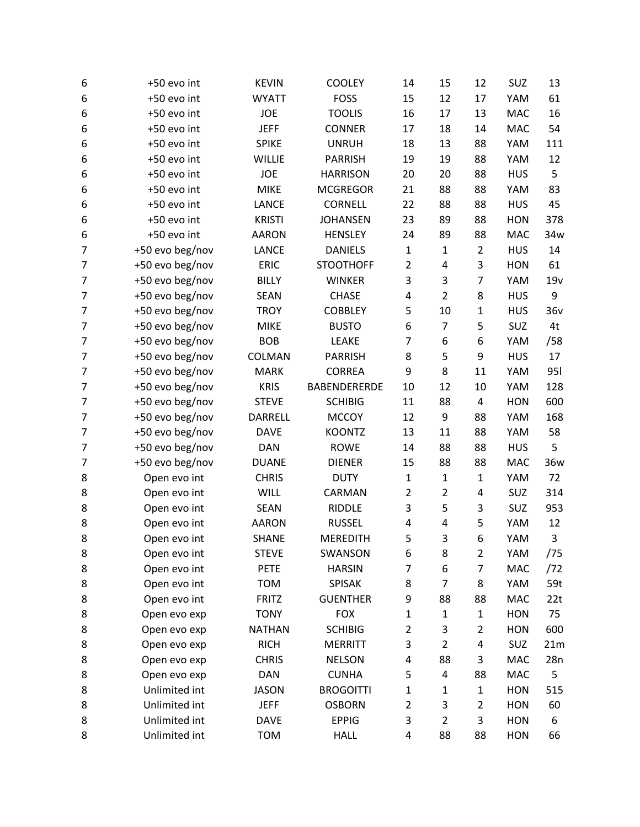| 6              | +50 evo int     | <b>KEVIN</b>  | <b>COOLEY</b>    | 14             | 15             | 12             | SUZ        | 13         |
|----------------|-----------------|---------------|------------------|----------------|----------------|----------------|------------|------------|
| 6              | +50 evo int     | <b>WYATT</b>  | <b>FOSS</b>      | 15             | 12             | 17             | YAM        | 61         |
| 6              | +50 evo int     | <b>JOE</b>    | <b>TOOLIS</b>    | 16             | 17             | 13             | MAC        | 16         |
| 6              | +50 evo int     | <b>JEFF</b>   | <b>CONNER</b>    | 17             | 18             | 14             | MAC        | 54         |
| 6              | +50 evo int     | <b>SPIKE</b>  | <b>UNRUH</b>     | 18             | 13             | 88             | YAM        | 111        |
| 6              | +50 evo int     | <b>WILLIE</b> | <b>PARRISH</b>   | 19             | 19             | 88             | YAM        | 12         |
| 6              | +50 evo int     | <b>JOE</b>    | <b>HARRISON</b>  | 20             | 20             | 88             | <b>HUS</b> | 5          |
| 6              | +50 evo int     | <b>MIKE</b>   | <b>MCGREGOR</b>  | 21             | 88             | 88             | YAM        | 83         |
| 6              | +50 evo int     | LANCE         | <b>CORNELL</b>   | 22             | 88             | 88             | <b>HUS</b> | 45         |
| 6              | +50 evo int     | <b>KRISTI</b> | <b>JOHANSEN</b>  | 23             | 89             | 88             | <b>HON</b> | 378        |
| 6              | +50 evo int     | <b>AARON</b>  | <b>HENSLEY</b>   | 24             | 89             | 88             | MAC        | 34w        |
| 7              | +50 evo beg/nov | LANCE         | <b>DANIELS</b>   | $\mathbf 1$    | $\mathbf{1}$   | $\overline{2}$ | <b>HUS</b> | 14         |
| $\overline{7}$ | +50 evo beg/nov | <b>ERIC</b>   | <b>STOOTHOFF</b> | $\overline{2}$ | 4              | 3              | <b>HON</b> | 61         |
| $\overline{7}$ | +50 evo beg/nov | <b>BILLY</b>  | <b>WINKER</b>    | 3              | 3              | $\overline{7}$ | YAM        | 19v        |
| 7              | +50 evo beg/nov | <b>SEAN</b>   | <b>CHASE</b>     | 4              | $\overline{2}$ | 8              | <b>HUS</b> | 9          |
| 7              | +50 evo beg/nov | <b>TROY</b>   | <b>COBBLEY</b>   | 5              | 10             | 1              | <b>HUS</b> | 36v        |
| 7              | +50 evo beg/nov | <b>MIKE</b>   | <b>BUSTO</b>     | 6              | $\overline{7}$ | 5              | SUZ        | 4t         |
| 7              | +50 evo beg/nov | <b>BOB</b>    | LEAKE            | 7              | 6              | 6              | YAM        | /58        |
| 7              | +50 evo beg/nov | COLMAN        | <b>PARRISH</b>   | 8              | 5              | 9              | <b>HUS</b> | 17         |
| 7              | +50 evo beg/nov | <b>MARK</b>   | <b>CORREA</b>    | 9              | 8              | 11             | YAM        | <b>951</b> |
| 7              | +50 evo beg/nov | <b>KRIS</b>   | BABENDERERDE     | 10             | 12             | 10             | YAM        | 128        |
| 7              | +50 evo beg/nov | <b>STEVE</b>  | <b>SCHIBIG</b>   | 11             | 88             | 4              | <b>HON</b> | 600        |
| 7              | +50 evo beg/nov | DARRELL       | <b>MCCOY</b>     | 12             | 9              | 88             | YAM        | 168        |
| 7              | +50 evo beg/nov | <b>DAVE</b>   | <b>KOONTZ</b>    | 13             | 11             | 88             | YAM        | 58         |
| 7              | +50 evo beg/nov | DAN           | <b>ROWE</b>      | 14             | 88             | 88             | <b>HUS</b> | 5          |
| 7              | +50 evo beg/nov | <b>DUANE</b>  | <b>DIENER</b>    | 15             | 88             | 88             | <b>MAC</b> | 36w        |
| 8              | Open evo int    | <b>CHRIS</b>  | <b>DUTY</b>      | $\mathbf{1}$   | $\mathbf{1}$   | $\mathbf{1}$   | YAM        | 72         |
| 8              | Open evo int    | WILL          | CARMAN           | $\overline{2}$ | $\overline{2}$ | 4              | SUZ        | 314        |
| 8              | Open evo int    | <b>SEAN</b>   | <b>RIDDLE</b>    | 3              | 5              | 3              | SUZ        | 953        |
| 8              | Open evo int    | <b>AARON</b>  | <b>RUSSEL</b>    | 4              | 4              | 5              | YAM        | 12         |
| 8              | Open evo int    | <b>SHANE</b>  | <b>MEREDITH</b>  | 5              | 3              | 6              | YAM        | 3          |
| 8              | Open evo int    | <b>STEVE</b>  | SWANSON          | 6              | 8              | $\overline{2}$ | YAM        | /75        |
| 8              | Open evo int    | PETE          | <b>HARSIN</b>    | 7              | 6              | 7              | MAC        | /72        |
| 8              | Open evo int    | <b>TOM</b>    | <b>SPISAK</b>    | 8              | 7              | 8              | YAM        | 59t        |
| 8              | Open evo int    | <b>FRITZ</b>  | <b>GUENTHER</b>  | 9              | 88             | 88             | MAC        | 22t        |
| 8              | Open evo exp    | <b>TONY</b>   | <b>FOX</b>       | $\mathbf{1}$   | $\mathbf{1}$   | $\mathbf{1}$   | <b>HON</b> | 75         |
| 8              | Open evo exp    | <b>NATHAN</b> | <b>SCHIBIG</b>   | 2              | 3              | $\overline{2}$ | <b>HON</b> | 600        |
| 8              | Open evo exp    | <b>RICH</b>   | <b>MERRITT</b>   | 3              | $\overline{2}$ | 4              | SUZ        | 21m        |
| 8              | Open evo exp    | <b>CHRIS</b>  | <b>NELSON</b>    | 4              | 88             | 3              | MAC        | 28n        |
| 8              | Open evo exp    | <b>DAN</b>    | <b>CUNHA</b>     | 5              | 4              | 88             | <b>MAC</b> | 5          |
| 8              | Unlimited int   | <b>JASON</b>  | <b>BROGOITTI</b> | $\mathbf{1}$   | 1              | $\mathbf{1}$   | <b>HON</b> | 515        |
| 8              | Unlimited int   | <b>JEFF</b>   | <b>OSBORN</b>    | $\overline{2}$ | 3              | $\overline{2}$ | <b>HON</b> | 60         |
| 8              | Unlimited int   | <b>DAVE</b>   | <b>EPPIG</b>     | 3              | $\overline{2}$ | 3              | <b>HON</b> | 6          |
| 8              | Unlimited int   | <b>TOM</b>    | <b>HALL</b>      | 4              | 88             | 88             | <b>HON</b> | 66         |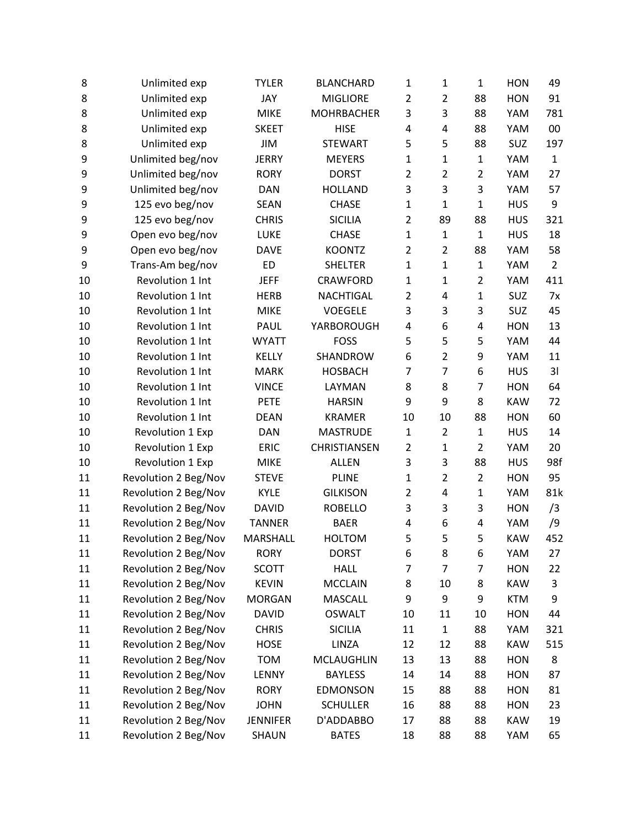| 8  | Unlimited exp        | <b>TYLER</b>    | <b>BLANCHARD</b>  | 1              | $\mathbf{1}$   | 1              | <b>HON</b> | 49             |
|----|----------------------|-----------------|-------------------|----------------|----------------|----------------|------------|----------------|
| 8  | Unlimited exp        | JAY             | <b>MIGLIORE</b>   | $\overline{2}$ | $\overline{2}$ | 88             | <b>HON</b> | 91             |
| 8  | Unlimited exp        | <b>MIKE</b>     | <b>MOHRBACHER</b> | 3              | 3              | 88             | YAM        | 781            |
| 8  | Unlimited exp        | <b>SKEET</b>    | <b>HISE</b>       | 4              | 4              | 88             | YAM        | 00             |
| 8  | Unlimited exp        | JIM             | <b>STEWART</b>    | 5              | 5              | 88             | <b>SUZ</b> | 197            |
| 9  | Unlimited beg/nov    | <b>JERRY</b>    | <b>MEYERS</b>     | 1              | $\mathbf{1}$   | 1              | YAM        | $\mathbf{1}$   |
| 9  | Unlimited beg/nov    | <b>RORY</b>     | <b>DORST</b>      | $\overline{2}$ | $\overline{2}$ | $\overline{2}$ | YAM        | 27             |
| 9  | Unlimited beg/nov    | <b>DAN</b>      | <b>HOLLAND</b>    | 3              | 3              | 3              | YAM        | 57             |
| 9  | 125 evo beg/nov      | SEAN            | <b>CHASE</b>      | $\mathbf{1}$   | $\mathbf{1}$   | $\mathbf{1}$   | <b>HUS</b> | 9              |
| 9  | 125 evo beg/nov      | <b>CHRIS</b>    | <b>SICILIA</b>    | $\overline{2}$ | 89             | 88             | <b>HUS</b> | 321            |
| 9  | Open evo beg/nov     | LUKE            | <b>CHASE</b>      | $\mathbf{1}$   | $\mathbf{1}$   | $\mathbf{1}$   | <b>HUS</b> | 18             |
| 9  | Open evo beg/nov     | <b>DAVE</b>     | <b>KOONTZ</b>     | $\overline{2}$ | $\overline{2}$ | 88             | YAM        | 58             |
| 9  | Trans-Am beg/nov     | <b>ED</b>       | <b>SHELTER</b>    | $\mathbf{1}$   | $\mathbf{1}$   | 1              | YAM        | $\overline{2}$ |
| 10 | Revolution 1 Int     | <b>JEFF</b>     | <b>CRAWFORD</b>   | $\mathbf{1}$   | $\mathbf{1}$   | $\overline{2}$ | YAM        | 411            |
| 10 | Revolution 1 Int     | <b>HERB</b>     | <b>NACHTIGAL</b>  | $\overline{2}$ | 4              | $\mathbf{1}$   | SUZ        | 7x             |
| 10 | Revolution 1 Int     | <b>MIKE</b>     | <b>VOEGELE</b>    | 3              | 3              | 3              | SUZ        | 45             |
| 10 | Revolution 1 Int     | PAUL            | YARBOROUGH        | 4              | 6              | 4              | <b>HON</b> | 13             |
| 10 | Revolution 1 Int     | <b>WYATT</b>    | <b>FOSS</b>       | 5              | 5              | 5              | YAM        | 44             |
| 10 | Revolution 1 Int     | <b>KELLY</b>    | SHANDROW          | 6              | $\overline{2}$ | 9              | YAM        | 11             |
| 10 | Revolution 1 Int     | <b>MARK</b>     | <b>HOSBACH</b>    | 7              | $\overline{7}$ | 6              | <b>HUS</b> | 31             |
| 10 | Revolution 1 Int     | <b>VINCE</b>    | LAYMAN            | 8              | 8              | 7              | <b>HON</b> | 64             |
| 10 | Revolution 1 Int     | <b>PETE</b>     | <b>HARSIN</b>     | 9              | 9              | 8              | <b>KAW</b> | 72             |
| 10 | Revolution 1 Int     | <b>DEAN</b>     | <b>KRAMER</b>     | 10             | 10             | 88             | <b>HON</b> | 60             |
| 10 | Revolution 1 Exp     | <b>DAN</b>      | <b>MASTRUDE</b>   | $\mathbf{1}$   | $\overline{2}$ | $\mathbf{1}$   | <b>HUS</b> | 14             |
| 10 | Revolution 1 Exp     | <b>ERIC</b>     | CHRISTIANSEN      | $\overline{2}$ | $\mathbf{1}$   | $\overline{2}$ | YAM        | 20             |
| 10 | Revolution 1 Exp     | <b>MIKE</b>     | <b>ALLEN</b>      | 3              | 3              | 88             | <b>HUS</b> | 98f            |
| 11 | Revolution 2 Beg/Nov | <b>STEVE</b>    | <b>PLINE</b>      | $\mathbf{1}$   | $\overline{2}$ | $\overline{2}$ | <b>HON</b> | 95             |
| 11 | Revolution 2 Beg/Nov | <b>KYLE</b>     | <b>GILKISON</b>   | $\overline{2}$ | 4              | $\mathbf{1}$   | YAM        | 81k            |
| 11 | Revolution 2 Beg/Nov | <b>DAVID</b>    | <b>ROBELLO</b>    | 3              | 3              | 3              | <b>HON</b> | /3             |
| 11 | Revolution 2 Beg/Nov | <b>TANNER</b>   | <b>BAER</b>       | 4              | 6              | 4              | YAM        | /9             |
| 11 | Revolution 2 Beg/Nov | MARSHALL        | <b>HOLTOM</b>     | 5              | 5              | 5              | <b>KAW</b> | 452            |
| 11 | Revolution 2 Beg/Nov | <b>RORY</b>     | <b>DORST</b>      | 6              | 8              | 6              | YAM        | 27             |
| 11 | Revolution 2 Beg/Nov | <b>SCOTT</b>    | <b>HALL</b>       | 7              | $\overline{7}$ | 7              | <b>HON</b> | 22             |
| 11 | Revolution 2 Beg/Nov | <b>KEVIN</b>    | <b>MCCLAIN</b>    | 8              | 10             | 8              | <b>KAW</b> | 3              |
| 11 | Revolution 2 Beg/Nov | <b>MORGAN</b>   | MASCALL           | 9              | 9              | 9              | <b>KTM</b> | 9              |
| 11 | Revolution 2 Beg/Nov | <b>DAVID</b>    | <b>OSWALT</b>     | 10             | 11             | 10             | <b>HON</b> | 44             |
| 11 | Revolution 2 Beg/Nov | <b>CHRIS</b>    | <b>SICILIA</b>    | 11             | $\mathbf{1}$   | 88             | YAM        | 321            |
| 11 | Revolution 2 Beg/Nov | <b>HOSE</b>     | LINZA             | 12             | 12             | 88             | <b>KAW</b> | 515            |
| 11 | Revolution 2 Beg/Nov | <b>TOM</b>      | <b>MCLAUGHLIN</b> | 13             | 13             | 88             | <b>HON</b> | 8              |
| 11 | Revolution 2 Beg/Nov | LENNY           | <b>BAYLESS</b>    | 14             | 14             | 88             | <b>HON</b> | 87             |
| 11 | Revolution 2 Beg/Nov | <b>RORY</b>     | <b>EDMONSON</b>   | 15             | 88             | 88             | <b>HON</b> | 81             |
| 11 | Revolution 2 Beg/Nov | <b>JOHN</b>     | <b>SCHULLER</b>   | 16             | 88             | 88             | <b>HON</b> | 23             |
| 11 | Revolution 2 Beg/Nov | <b>JENNIFER</b> | D'ADDABBO         | 17             | 88             | 88             | <b>KAW</b> | 19             |
| 11 | Revolution 2 Beg/Nov | <b>SHAUN</b>    | <b>BATES</b>      | 18             | 88             | 88             | YAM        | 65             |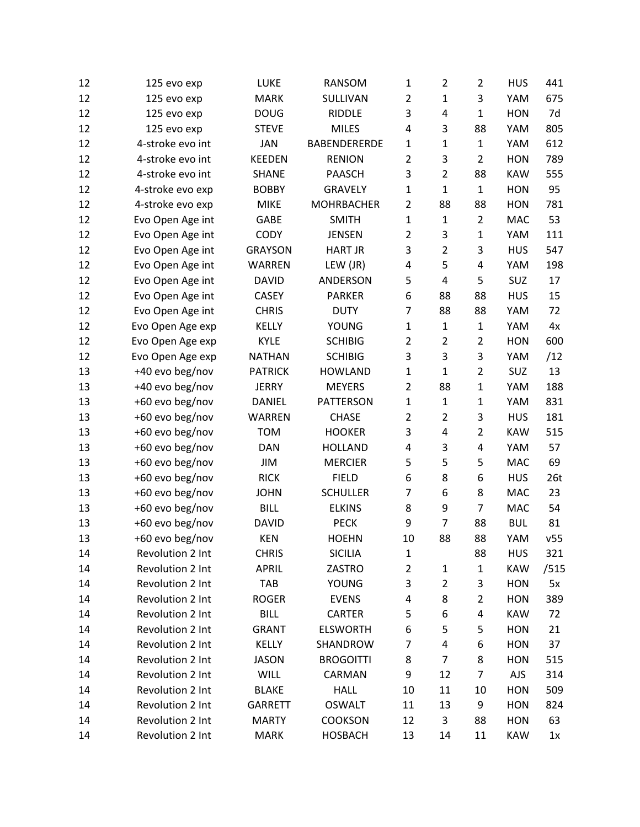| 12 | 125 evo exp      | LUKE           | RANSOM              | 1              | $\overline{2}$ | $\overline{2}$ | <b>HUS</b> | 441  |
|----|------------------|----------------|---------------------|----------------|----------------|----------------|------------|------|
| 12 | 125 evo exp      | <b>MARK</b>    | SULLIVAN            | $\overline{2}$ | $\mathbf{1}$   | 3              | YAM        | 675  |
| 12 | 125 evo exp      | <b>DOUG</b>    | <b>RIDDLE</b>       | 3              | 4              | 1              | <b>HON</b> | 7d   |
| 12 | 125 evo exp      | <b>STEVE</b>   | <b>MILES</b>        | 4              | 3              | 88             | YAM        | 805  |
| 12 | 4-stroke evo int | <b>JAN</b>     | <b>BABENDERERDE</b> | 1              | $\mathbf{1}$   | $\mathbf{1}$   | YAM        | 612  |
| 12 | 4-stroke evo int | <b>KEEDEN</b>  | <b>RENION</b>       | 2              | 3              | $\overline{2}$ | <b>HON</b> | 789  |
| 12 | 4-stroke evo int | <b>SHANE</b>   | <b>PAASCH</b>       | 3              | $\overline{2}$ | 88             | <b>KAW</b> | 555  |
| 12 | 4-stroke evo exp | <b>BOBBY</b>   | <b>GRAVELY</b>      | $\mathbf{1}$   | $\mathbf 1$    | $\mathbf{1}$   | <b>HON</b> | 95   |
| 12 | 4-stroke evo exp | <b>MIKE</b>    | <b>MOHRBACHER</b>   | $\overline{2}$ | 88             | 88             | <b>HON</b> | 781  |
| 12 | Evo Open Age int | <b>GABE</b>    | <b>SMITH</b>        | $\mathbf{1}$   | $\mathbf{1}$   | $\overline{2}$ | <b>MAC</b> | 53   |
| 12 | Evo Open Age int | <b>CODY</b>    | <b>JENSEN</b>       | $\overline{2}$ | 3              | $\mathbf{1}$   | YAM        | 111  |
| 12 | Evo Open Age int | <b>GRAYSON</b> | <b>HART JR</b>      | 3              | $\overline{2}$ | 3              | <b>HUS</b> | 547  |
| 12 | Evo Open Age int | WARREN         | LEW (JR)            | 4              | 5              | 4              | YAM        | 198  |
| 12 | Evo Open Age int | <b>DAVID</b>   | ANDERSON            | 5              | 4              | 5              | SUZ        | 17   |
| 12 | Evo Open Age int | <b>CASEY</b>   | <b>PARKER</b>       | 6              | 88             | 88             | <b>HUS</b> | 15   |
| 12 | Evo Open Age int | <b>CHRIS</b>   | <b>DUTY</b>         | 7              | 88             | 88             | YAM        | 72   |
| 12 | Evo Open Age exp | KELLY          | <b>YOUNG</b>        | $\mathbf{1}$   | $\mathbf{1}$   | $\mathbf{1}$   | YAM        | 4x   |
| 12 | Evo Open Age exp | <b>KYLE</b>    | <b>SCHIBIG</b>      | $\overline{2}$ | $\overline{2}$ | $\overline{2}$ | <b>HON</b> | 600  |
| 12 | Evo Open Age exp | <b>NATHAN</b>  | <b>SCHIBIG</b>      | 3              | 3              | 3              | YAM        | /12  |
| 13 | +40 evo beg/nov  | <b>PATRICK</b> | <b>HOWLAND</b>      | $\mathbf{1}$   | $\mathbf{1}$   | $\overline{2}$ | SUZ        | 13   |
| 13 | +40 evo beg/nov  | <b>JERRY</b>   | <b>MEYERS</b>       | $\overline{2}$ | 88             | 1              | YAM        | 188  |
| 13 | +60 evo beg/nov  | DANIEL         | PATTERSON           | $\mathbf{1}$   | $\mathbf{1}$   | 1              | YAM        | 831  |
| 13 | +60 evo beg/nov  | WARREN         | <b>CHASE</b>        | $\overline{2}$ | $\overline{2}$ | 3              | <b>HUS</b> | 181  |
| 13 | +60 evo beg/nov  | <b>TOM</b>     | <b>HOOKER</b>       | 3              | 4              | $\overline{2}$ | <b>KAW</b> | 515  |
| 13 | +60 evo beg/nov  | <b>DAN</b>     | <b>HOLLAND</b>      | 4              | 3              | 4              | YAM        | 57   |
| 13 | +60 evo beg/nov  | JIM            | <b>MERCIER</b>      | 5              | 5              | 5              | <b>MAC</b> | 69   |
| 13 | +60 evo beg/nov  | <b>RICK</b>    | <b>FIELD</b>        | 6              | 8              | 6              | <b>HUS</b> | 26t  |
| 13 | +60 evo beg/nov  | <b>JOHN</b>    | <b>SCHULLER</b>     | 7              | 6              | 8              | MAC        | 23   |
| 13 | +60 evo beg/nov  | <b>BILL</b>    | <b>ELKINS</b>       | 8              | 9              | $\overline{7}$ | MAC        | 54   |
| 13 | +60 evo beg/nov  | <b>DAVID</b>   | <b>PECK</b>         | 9              | $\overline{7}$ | 88             | <b>BUL</b> | 81   |
| 13 | +60 evo beg/nov  | <b>KEN</b>     | <b>HOEHN</b>        | 10             | 88             | 88             | YAM        | v55  |
| 14 | Revolution 2 Int | <b>CHRIS</b>   | <b>SICILIA</b>      | 1              |                | 88             | <b>HUS</b> | 321  |
| 14 | Revolution 2 Int | <b>APRIL</b>   | ZASTRO              | 2              | $\mathbf{1}$   | $\mathbf{1}$   | <b>KAW</b> | /515 |
| 14 | Revolution 2 Int | TAB            | <b>YOUNG</b>        | 3              | $\overline{c}$ | 3              | <b>HON</b> | 5x   |
| 14 | Revolution 2 Int | <b>ROGER</b>   | <b>EVENS</b>        | 4              | 8              | $\overline{2}$ | <b>HON</b> | 389  |
| 14 | Revolution 2 Int | <b>BILL</b>    | CARTER              | 5              | 6              | 4              | <b>KAW</b> | 72   |
| 14 | Revolution 2 Int | <b>GRANT</b>   | <b>ELSWORTH</b>     | 6              | 5              | 5              | <b>HON</b> | 21   |
| 14 | Revolution 2 Int | KELLY          | SHANDROW            | 7              | 4              | 6              | <b>HON</b> | 37   |
| 14 | Revolution 2 Int | <b>JASON</b>   | <b>BROGOITTI</b>    | 8              | 7              | 8              | <b>HON</b> | 515  |
| 14 | Revolution 2 Int | <b>WILL</b>    | CARMAN              | 9              | 12             | 7              | AJS        | 314  |
| 14 | Revolution 2 Int | <b>BLAKE</b>   | <b>HALL</b>         | 10             | 11             | 10             | <b>HON</b> | 509  |
| 14 | Revolution 2 Int | GARRETT        | <b>OSWALT</b>       | 11             | 13             | 9              | <b>HON</b> | 824  |
| 14 | Revolution 2 Int | <b>MARTY</b>   | <b>COOKSON</b>      | 12             | 3              | 88             | <b>HON</b> | 63   |
| 14 | Revolution 2 Int | <b>MARK</b>    | <b>HOSBACH</b>      | 13             | 14             | 11             | <b>KAW</b> | 1x   |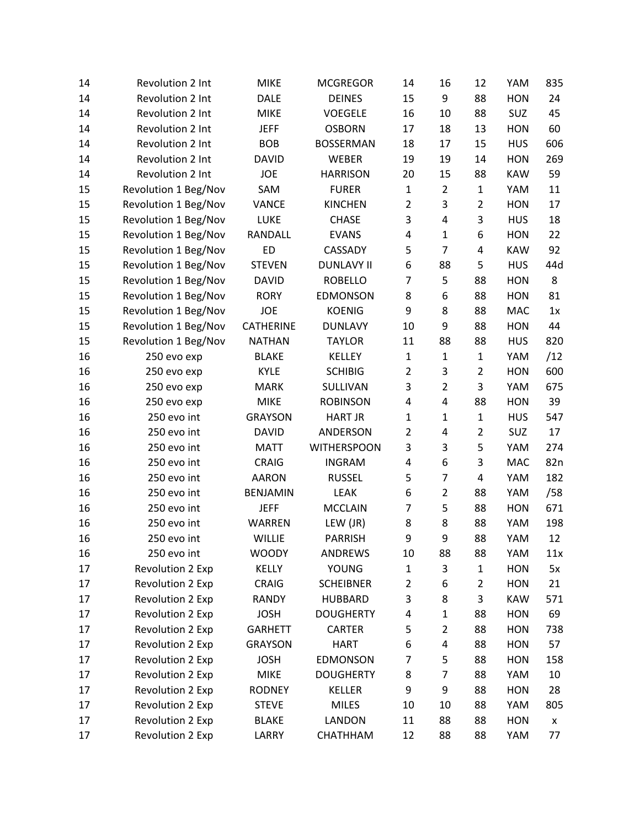| 14 | Revolution 2 Int     | <b>MIKE</b>      | <b>MCGREGOR</b>    | 14             | 16             | 12             | YAM        | 835 |
|----|----------------------|------------------|--------------------|----------------|----------------|----------------|------------|-----|
| 14 | Revolution 2 Int     | <b>DALE</b>      | <b>DEINES</b>      | 15             | 9              | 88             | <b>HON</b> | 24  |
| 14 | Revolution 2 Int     | <b>MIKE</b>      | <b>VOEGELE</b>     | 16             | 10             | 88             | SUZ        | 45  |
| 14 | Revolution 2 Int     | <b>JEFF</b>      | <b>OSBORN</b>      | 17             | 18             | 13             | <b>HON</b> | 60  |
| 14 | Revolution 2 Int     | <b>BOB</b>       | <b>BOSSERMAN</b>   | 18             | 17             | 15             | <b>HUS</b> | 606 |
| 14 | Revolution 2 Int     | <b>DAVID</b>     | WEBER              | 19             | 19             | 14             | <b>HON</b> | 269 |
| 14 | Revolution 2 Int     | <b>JOE</b>       | <b>HARRISON</b>    | 20             | 15             | 88             | <b>KAW</b> | 59  |
| 15 | Revolution 1 Beg/Nov | SAM              | <b>FURER</b>       | $\mathbf{1}$   | $\overline{2}$ | $\mathbf{1}$   | YAM        | 11  |
| 15 | Revolution 1 Beg/Nov | <b>VANCE</b>     | <b>KINCHEN</b>     | $\overline{2}$ | 3              | $\overline{2}$ | <b>HON</b> | 17  |
| 15 | Revolution 1 Beg/Nov | LUKE             | <b>CHASE</b>       | 3              | 4              | 3              | <b>HUS</b> | 18  |
| 15 | Revolution 1 Beg/Nov | RANDALL          | <b>EVANS</b>       | 4              | $\mathbf{1}$   | 6              | <b>HON</b> | 22  |
| 15 | Revolution 1 Beg/Nov | <b>ED</b>        | CASSADY            | 5              | $\overline{7}$ | 4              | <b>KAW</b> | 92  |
| 15 | Revolution 1 Beg/Nov | <b>STEVEN</b>    | <b>DUNLAVY II</b>  | 6              | 88             | 5              | <b>HUS</b> | 44d |
| 15 | Revolution 1 Beg/Nov | <b>DAVID</b>     | <b>ROBELLO</b>     | 7              | 5              | 88             | <b>HON</b> | 8   |
| 15 | Revolution 1 Beg/Nov | <b>RORY</b>      | <b>EDMONSON</b>    | 8              | 6              | 88             | <b>HON</b> | 81  |
| 15 | Revolution 1 Beg/Nov | <b>JOE</b>       | <b>KOENIG</b>      | 9              | 8              | 88             | <b>MAC</b> | 1x  |
| 15 | Revolution 1 Beg/Nov | <b>CATHERINE</b> | <b>DUNLAVY</b>     | 10             | 9              | 88             | <b>HON</b> | 44  |
| 15 | Revolution 1 Beg/Nov | <b>NATHAN</b>    | <b>TAYLOR</b>      | 11             | 88             | 88             | <b>HUS</b> | 820 |
| 16 | 250 evo exp          | <b>BLAKE</b>     | <b>KELLEY</b>      | $\mathbf{1}$   | $\mathbf 1$    | $\mathbf{1}$   | YAM        | /12 |
| 16 | 250 evo exp          | <b>KYLE</b>      | <b>SCHIBIG</b>     | $\overline{2}$ | 3              | $\overline{2}$ | <b>HON</b> | 600 |
| 16 | 250 evo exp          | <b>MARK</b>      | SULLIVAN           | 3              | $\overline{2}$ | 3              | YAM        | 675 |
| 16 | 250 evo exp          | <b>MIKE</b>      | <b>ROBINSON</b>    | 4              | $\overline{4}$ | 88             | <b>HON</b> | 39  |
| 16 | 250 evo int          | <b>GRAYSON</b>   | <b>HART JR</b>     | $\mathbf{1}$   | $\mathbf{1}$   | $\mathbf{1}$   | <b>HUS</b> | 547 |
| 16 | 250 evo int          | <b>DAVID</b>     | ANDERSON           | $\overline{2}$ | 4              | $\overline{2}$ | SUZ        | 17  |
| 16 | 250 evo int          | <b>MATT</b>      | <b>WITHERSPOON</b> | 3              | 3              | 5              | YAM        | 274 |
| 16 | 250 evo int          | <b>CRAIG</b>     | <b>INGRAM</b>      | 4              | 6              | 3              | <b>MAC</b> | 82n |
| 16 | 250 evo int          | <b>AARON</b>     | <b>RUSSEL</b>      | 5              | $\overline{7}$ | 4              | YAM        | 182 |
| 16 | 250 evo int          | <b>BENJAMIN</b>  | LEAK               | 6              | $\overline{2}$ | 88             | YAM        | /58 |
| 16 | 250 evo int          | <b>JEFF</b>      | <b>MCCLAIN</b>     | 7              | 5              | 88             | <b>HON</b> | 671 |
| 16 | 250 evo int          | WARREN           | LEW (JR)           | 8              | 8              | 88             | YAM        | 198 |
| 16 | 250 evo int          | <b>WILLIE</b>    | <b>PARRISH</b>     | 9              | 9              | 88             | YAM        | 12  |
| 16 | 250 evo int          | <b>WOODY</b>     | ANDREWS            | 10             | 88             | 88             | YAM        | 11x |
| 17 | Revolution 2 Exp     | <b>KELLY</b>     | <b>YOUNG</b>       | $\mathbf{1}$   | 3              | 1              | <b>HON</b> | 5x  |
| 17 | Revolution 2 Exp     | CRAIG            | <b>SCHEIBNER</b>   | $\overline{2}$ | 6              | $\overline{2}$ | <b>HON</b> | 21  |
| 17 | Revolution 2 Exp     | <b>RANDY</b>     | <b>HUBBARD</b>     | 3              | 8              | 3              | <b>KAW</b> | 571 |
| 17 | Revolution 2 Exp     | <b>JOSH</b>      | <b>DOUGHERTY</b>   | 4              | $\mathbf 1$    | 88             | <b>HON</b> | 69  |
| 17 | Revolution 2 Exp     | <b>GARHETT</b>   | CARTER             | 5              | $\overline{2}$ | 88             | <b>HON</b> | 738 |
| 17 | Revolution 2 Exp     | <b>GRAYSON</b>   | <b>HART</b>        | 6              | 4              | 88             | <b>HON</b> | 57  |
| 17 | Revolution 2 Exp     | <b>JOSH</b>      | <b>EDMONSON</b>    | 7              | 5              | 88             | <b>HON</b> | 158 |
| 17 | Revolution 2 Exp     | <b>MIKE</b>      | <b>DOUGHERTY</b>   | 8              | $\overline{7}$ | 88             | YAM        | 10  |
| 17 | Revolution 2 Exp     | <b>RODNEY</b>    | KELLER             | 9              | 9              | 88             | <b>HON</b> | 28  |
| 17 | Revolution 2 Exp     | <b>STEVE</b>     | <b>MILES</b>       | 10             | 10             | 88             | YAM        | 805 |
| 17 | Revolution 2 Exp     | <b>BLAKE</b>     | LANDON             | 11             | 88             | 88             | <b>HON</b> | X   |
| 17 | Revolution 2 Exp     | LARRY            | CHATHHAM           | 12             | 88             | 88             | YAM        | 77  |